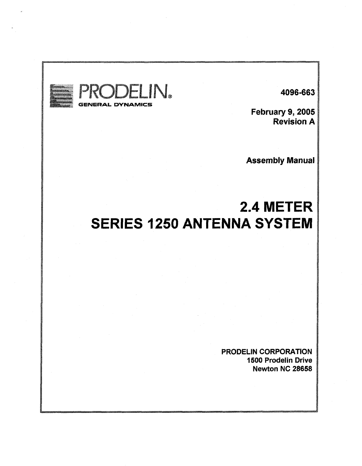

**4096-663** 

**February 9, 2005 Revision A** 

**Assembly Manual** 

# **2.4 METER SERIES 1250 ANTENNA SYSTEM**

**PRODELIN CORPORATION 1500 Prodelin Drive Newton NC 28658**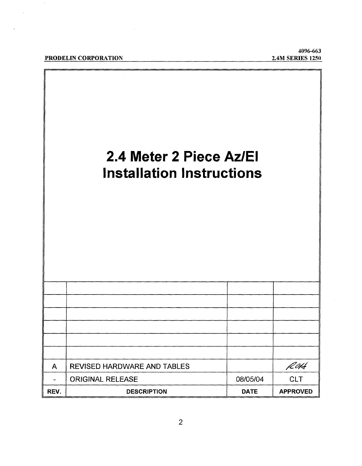**4096-663 2.4M SERIES 1250** 

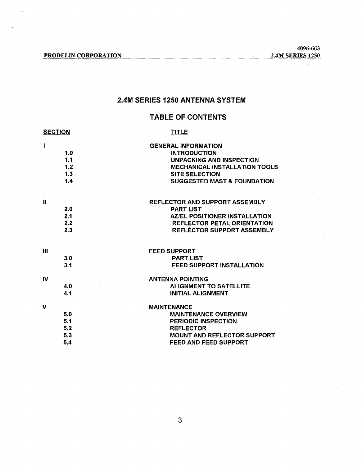**4096-663 2.4M SERIES 1250** 

# **2.4M SERIES 1250 ANTENNA SYSTEM**

# **TABLE OF CONTENTS**

| <b>SECTION</b> | <b>TITLE</b>                           |
|----------------|----------------------------------------|
|                | <b>GENERAL INFORMATION</b>             |
| 1.0            | <b>INTRODUCTION</b>                    |
| 1.1            | <b>UNPACKING AND INSPECTION</b>        |
| 1.2            | <b>MECHANICAL INSTALLATION TOOLS</b>   |
| 1.3            | <b>SITE SELECTION</b>                  |
| 1.4            | <b>SUGGESTED MAST &amp; FOUNDATION</b> |
| Ш              | <b>REFLECTOR AND SUPPORT ASSEMBLY</b>  |
| 2.0            | <b>PART LIST</b>                       |
| 2.1            | <b>AZ/EL POSITIONER INSTALLATION</b>   |
| 2.2            | <b>REFLECTOR PETAL ORIENTATION</b>     |
| 2.3            | <b>REFLECTOR SUPPORT ASSEMBLY</b>      |
| Ш              | <b>FEED SUPPORT</b>                    |
| 3.0            | <b>PART LIST</b>                       |
| 3.1            | FEED SUPPORT INSTALLATION              |
| IV             | <b>ANTENNA POINTING</b>                |
| 4.0            | <b>ALIGNMENT TO SATELLITE</b>          |
| 4.1            | <b>INITIAL ALIGNMENT</b>               |
| ν              | <b>MAINTENANCE</b>                     |
| 5.0            | <b>MAINTENANCE OVERVIEW</b>            |
| 5.1            | <b>PERIODIC INSPECTION</b>             |
| 5.2            | <b>REFLECTOR</b>                       |
| 5.3            | <b>MOUNT AND REFLECTOR SUPPORT</b>     |
| 5.4            | <b>FEED AND FEED SUPPORT</b>           |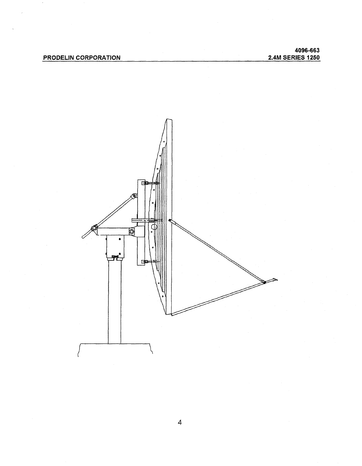**4096-663 2.4M SERIES 1250** 

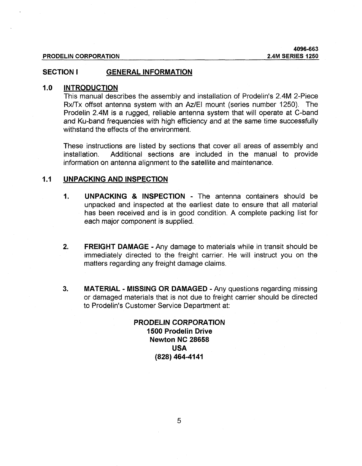#### **SECTION I GENERAL INFORMATION**

#### **1.0 INTRODUCTION**

**This manual describes the assembly and installation of Prodelin's 2.4M 2-Piece Rx/Tx offset antenna system with an Az/EI mount (series number 1250). The Prodelin 2.4M is <sup>a</sup>rugged, reliable antenna system that will operate at C-band and Ku-band frequencies with high efficiency and at the same time successfully withstand the effects of the environment.** 

**These instructions are listed by sections that cover all areas of assembly and installation. Additional sections are included in the manual to provide information on antenna alignment to the satellite and maintenance.** 

#### **1.1 UNPACKING AND INSPECTION**

- **1. UNPACKING & INSPECTION The antenna containers should be unpacked and inspected at the earliest date to ensure that all material has been received and is in good condition. A complete packing list for each major component is supplied.**
- **2. FREIGHT DAMAGE Any damage to materials while in transit should be immediately directed to the freight carrier. He will instruct you on the matters regarding any freight damage claims.**
- **3. MATERIAL MISSING OR DAMAGED Any questions regarding missing or damaged materials that is not due to freight carrier should be directed to Prodelin's Customer Service Department at:**

**PRODELIN CORPORATION 1500 Prodelin Drive Newton NC 28658 USA (828) 464-4141**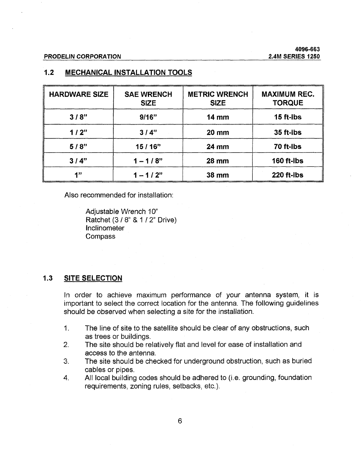### **1-2 MECHANICAL INSTALLATION TOOLS**

| <b>HARDWARE SIZE</b> | <b>SAE WRENCH</b><br><b>SIZE</b> | <b>METRIC WRENCH</b><br><b>SIZE</b> | <b>MAXIMUM REC.</b><br><b>TORQUE</b> |
|----------------------|----------------------------------|-------------------------------------|--------------------------------------|
| 3/8"                 | 9/16"                            | $14 \text{ mm}$                     | 15 ft-Ibs                            |
| 1/2"                 | 3/4"                             | $20$ mm                             | 35 ft-Ibs                            |
| 5/8"                 | 15/16"                           | $24 \text{ mm}$                     | 70 ft-lbs                            |
| 3/4"                 | $1 - 1/8$                        | $28 \text{ mm}$                     | <b>160 ft-lbs</b>                    |
| 455                  | $1 - 1/2"$                       | 38 mm                               | 220 ft-Ibs                           |

**Also recommended for installation:** 

**Adjustable Wrench 10" Ratchet (3 / 8" & 1 / 2" Drive) Inclinometer Compass** 

#### **1.3 SITE SELECTION**

**In order to achieve maximum performance of your antenna system, it is important to select the correct location for the antenna. The following guidelines should be observed when selecting a site for the installation.** 

- **1. The line of site to the satellite should be clear of any obstructions, such as trees or buildings.**
- **2. The site should be relatively flat and level for ease of installation and access to the antenna.**
- **3. The site should be checked for underground obstruction, such as buried cables or pipes.**
- **4. All local building codes should be adhered to (i.e. grounding, foundation requirements, zoning rules, setbacks, etc.).**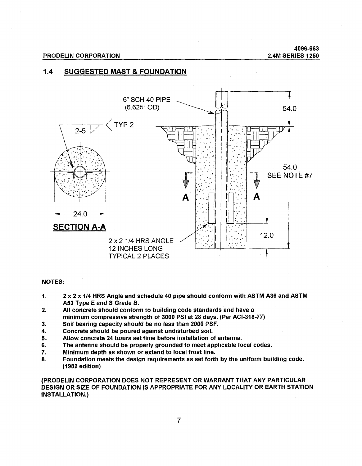#### **1.4 SUGGESTED MAST & FOUNDATION**



#### **NOTES:**

- **1. 2x2x1/4 MRS Angle and schedule 40 pipe should conform with ASTM A36 and ASTM A53 Type E and S Grade B.**
- **2. All concrete should conform to building code standards and have a minimum compressive strength of 3000 PSI at 28 days. (Per ACI-318-77)**
- **3. Soil bearing capacity should be no less than 2000 PSF.**
- **4. Concrete should be poured against undisturbed soil.**
- **5- Allow concrete 24 hours set time before installation of antenna.**
- **6. The antenna should be properly grounded to meet applicable local codes.**
- **7. Minimum depth as shown or extend to local frost line.**
- **8. Foundation meets the design requirements as set forth by the uniform building code. (1982 edition)**

**(PRODEL1N CORPORATION DOES NOT REPRESENT OR WARRANT THAT ANY PARTICULAR DESIGN OR SIZE OF FOUNDATION IS APPROPRIATE FOR ANY LOCALITY OR EARTH STATION INSTALLATION.)**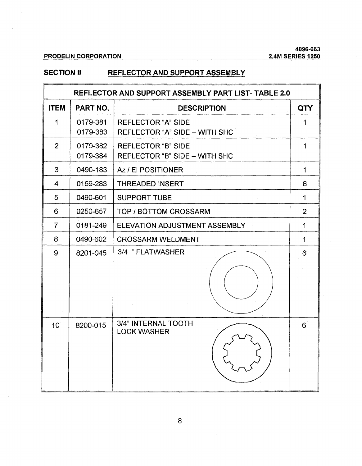# **SECTION II REFLECTOR AND SUPPORT ASSEMBLY**

| REFLECTOR AND SUPPORT ASSEMBLY PART LIST- TABLE 2.0 |                      |                                                            |                |
|-----------------------------------------------------|----------------------|------------------------------------------------------------|----------------|
| <b>ITEM</b>                                         | PART NO.             | <b>DESCRIPTION</b>                                         | <b>QTY</b>     |
| 1                                                   | 0179-381<br>0179-383 | <b>REFLECTOR "A" SIDE</b><br>REFLECTOR "A" SIDE - WITH SHC | 1              |
| $\overline{2}$                                      | 0179-382<br>0179-384 | <b>REFLECTOR "B" SIDE</b><br>REFLECTOR "B" SIDE - WITH SHC | 1              |
| 3                                                   | 0490-183             | Az / El POSITIONER                                         | 1              |
| 4                                                   | 0159-283             | <b>THREADED INSERT</b>                                     | 6              |
| 5                                                   | 0490-601             | <b>SUPPORT TUBE</b>                                        | 1              |
| 6                                                   | 0250-657             | TOP / BOTTOM CROSSARM                                      | $\overline{2}$ |
| $\overline{7}$                                      | 0181-249             | ELEVATION ADJUSTMENT ASSEMBLY                              | 1              |
| 8                                                   | 0490-602             | <b>CROSSARM WELDMENT</b>                                   | $\mathbf{1}$   |
| 9                                                   | 8201-045             | 3/4 " FLATWASHER                                           | 6              |
| 10 <sup>1</sup>                                     | 8200-015             | 3/4" INTERNAL TOOTH<br><b>LOCK WASHER</b>                  | 6              |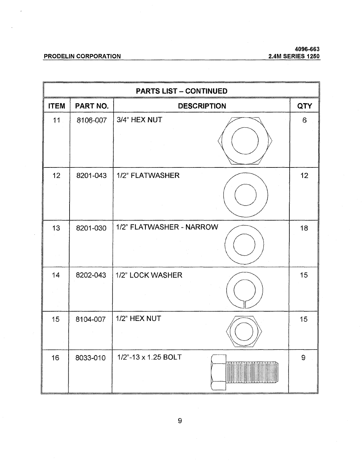| <b>PARTS LIST - CONTINUED</b> |          |                          |          |
|-------------------------------|----------|--------------------------|----------|
| <b>ITEM</b>                   | PART NO. | <b>DESCRIPTION</b>       |          |
| 11                            | 8106-007 | 3/4" HEX NUT             | 6        |
| 12                            | 8201-043 | 1/2" FLATWASHER          | 12       |
| 13                            | 8201-030 | 1/2" FLATWASHER - NARROW | 18       |
| 14                            | 8202-043 | 1/2" LOCK WASHER         | 15       |
| 15                            | 8104-007 | 1/2" HEX NUT             | 15       |
| 16                            | 8033-010 | 1/2"-13 x 1.25 BOLT      | $\Theta$ |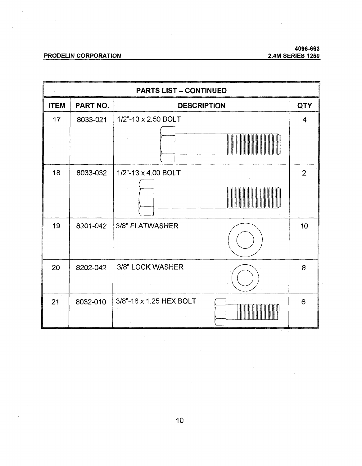| <b>PARTS LIST - CONTINUED</b> |          |                         |                 |
|-------------------------------|----------|-------------------------|-----------------|
| <b>ITEM</b>                   | PART NO. | <b>DESCRIPTION</b>      | <b>QTY</b>      |
| 17                            | 8033-021 | 1/2"-13 x 2.50 BOLT     | 4               |
|                               |          |                         |                 |
| 18                            | 8033-032 | 1/2"-13 x 4.00 BOLT     | $\overline{2}$  |
| 19                            | 8201-042 | 3/8" FLATWASHER         | 10 <sub>1</sub> |
| 20                            | 8202-042 | 3/8" LOCK WASHER        | 8               |
| 21                            | 8032-010 | 3/8"-16 x 1.25 HEX BOLT | 6               |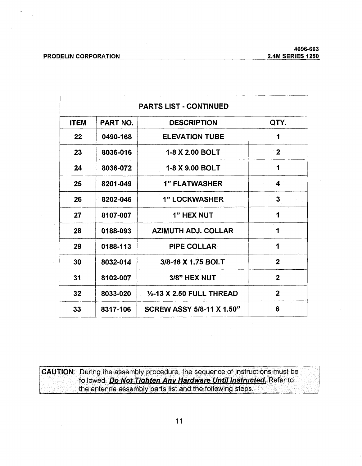|             |          | <b>PARTS LIST - CONTINUED</b>    |                |
|-------------|----------|----------------------------------|----------------|
| <b>ITEM</b> | PART NO. | <b>DESCRIPTION</b>               | QTY.           |
| 22          | 0490-168 | <b>ELEVATION TUBE</b>            | 1              |
| 23          | 8036-016 | 1-8 X 2.00 BOLT                  | $\overline{2}$ |
| 24          | 8036-072 | 1-8 X 9.00 BOLT                  | 1              |
| 25          | 8201-049 | <b>1" FLATWASHER</b>             | 4              |
| 26          | 8202-046 | <b>1" LOCKWASHER</b>             | 3              |
| 27          | 8107-007 | 1" HEX NUT                       | 1              |
| 28          | 0188-093 | <b>AZIMUTH ADJ. COLLAR</b>       | 1              |
| 29          | 0188-113 | <b>PIPE COLLAR</b>               | 1              |
| 30          | 8032-014 | 3/8-16 X 1.75 BOLT               | $\overline{2}$ |
| 31          | 8102-007 | 3/8" HEX NUT                     | $\overline{2}$ |
| 32          | 8033-020 | $1/2$ -13 X 2.50 FULL THREAD     | $\overline{2}$ |
| 33          | 8317-106 | <b>SCREW ASSY 5/8-11 X 1.50"</b> | 6              |

**CAUTION:** During the assembly procedure, the sequence of instructions must be followed. **Do Not Tighten Any Hardware Until Instructed.** Refer to  $\frac{1}{2}$  the antenna assembly parts list and the following steps.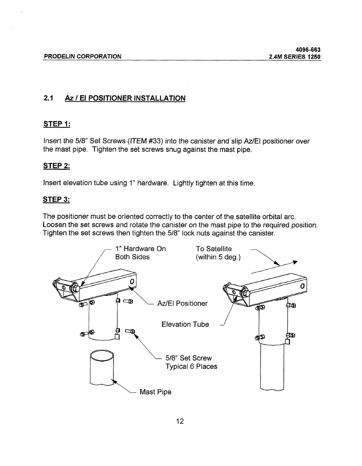# **2.1 Az / El POSITIONER INSTALLATION**

# **STEP1:**

**Insert the 5/8" Set Screws (ITEM #33) into the canister and slip Az/EI positioner over the mast pipe. Tighten the set screws snug against the mast pipe.** 

#### **STEP 2:**

**Insert elevation tube using 1" hardware. Lightly tighten at this time.** 

## **STEP 3:**

**The positioner must be oriented correctly to the center of the satellite orbital arc. Loosen the set screws and rotate the canister on the mast pipe to the required position. Tighten the set screws then tighten the 5/8" lock nuts against the canister.** 

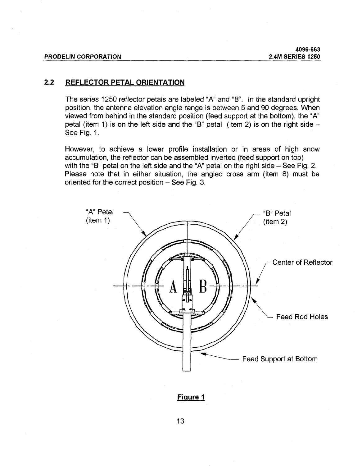# **2.2 REFLECTOR PETAL ORIENTATION**

**The series 1250 reflector petals are labeled "A" and "B". In the standard upright position, the antenna elevation angle range is between 5 and 90 degrees. When viewed from behind in the standard position (feed support at the bottom), the "A" petal (item 1) is on the left side and the "B" petal (item 2) is on the right side - See Fig. 1.** 

**However, to achieve a lower profile installation or in areas of high snow accumulation, the reflector can be assembled inverted (feed support on top) with the "B" petal on the left side and the "A" petal on the right side - See Fig. 2. Please note that in either situation, the angled cross arm (item 8) must be oriented for the correct position - See Fig. 3.** 



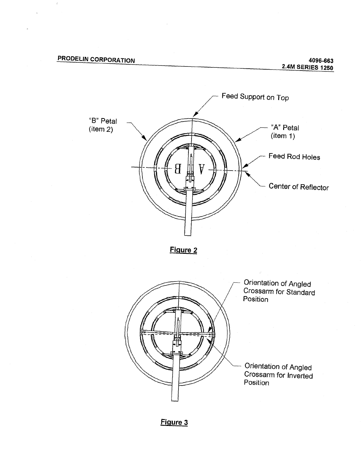$\bar{f}$ 

**4096-663 2.4M SERIES 1250** 



**Figure 3**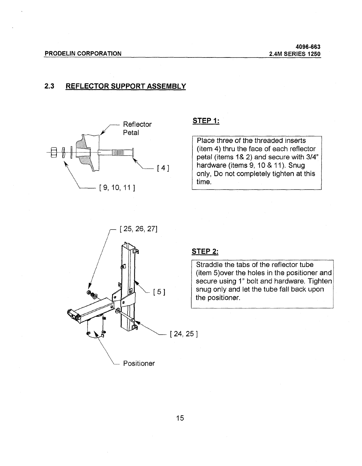# **2.3 REFLECTOR SUPPORT ASSEMBLY**



# **STEP1:**

**Place three of the threaded inserts (item 4) thru the face of each reflector petal (items 1 & 2) and secure with 3/4" hardware (items 9, 10 & 11). Snug only, Do not completely tighten at this time.** 



# **STEP 2:**

**Straddle the tabs of the reflector tube (item 5)over the holes in the positioner and secure using 1" bolt and hardware. Tighten snug only and let the tube fall back upon the positioner.**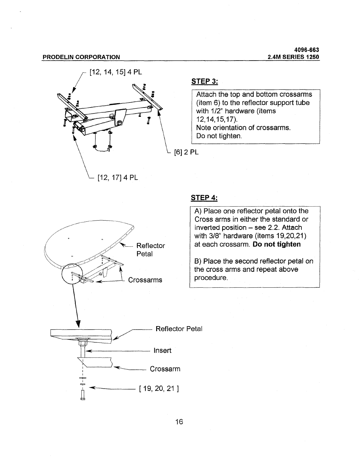

#### **STEP 3:**

**Attach the top and bottom crossarms (item 6) to the reflector support tube with 1/2" hardware (items 12,14,15,17). Note orientation of crossarms. Do not tighten.** 

Reflector Petal Crossarms **Reflector Petal** Insert Crossarm  $[19, 20, 21]$ 

# **STEP 4:**

**A) Place one reflector petal onto the Cross arms in either the standard or inverted position - see 2.2. Attach with 3/8" hardware (items 19,20,21) at each crossarm. Do not tighten** 

**B) Place the second reflector petal on the cross arms and repeat above procedure.** 

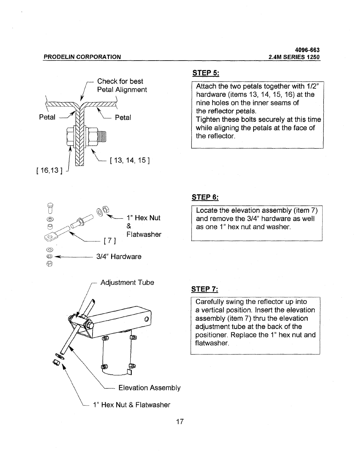

# **STEP 5:**

**Attach the two petals together with 1/2" hardware (items 13, 14, 15, 16) at the nine holes on the inner seams of the reflector petals.** 

**Tighten these bolts securely at this time while aligning the petals at the face of | the reflector.** 



# **STEP 6;**

**Locate the elevation assembly (item 7) and remove the 3/4" hardware as well as one 1" hex nut and washer.** 



# **STEP 7:**

**Carefully swing the reflector up into <sup>a</sup>vertical position. Insert the elevation assembly (item 7) thru the elevation adjustment tube at the back of the positioner. Replace the 1" hex nut and flatwasher.**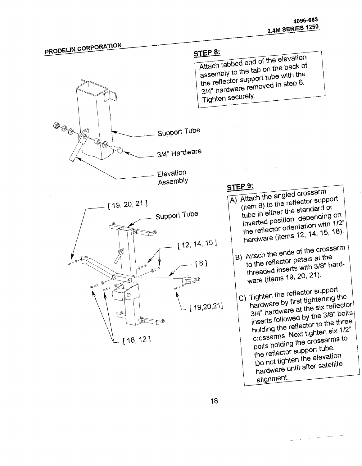

alignment.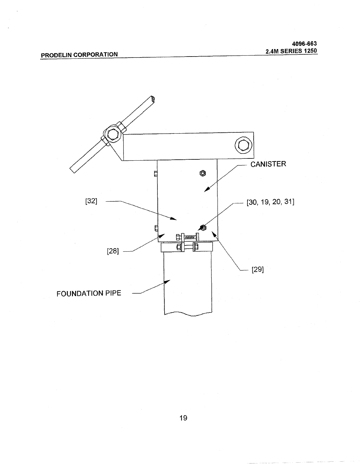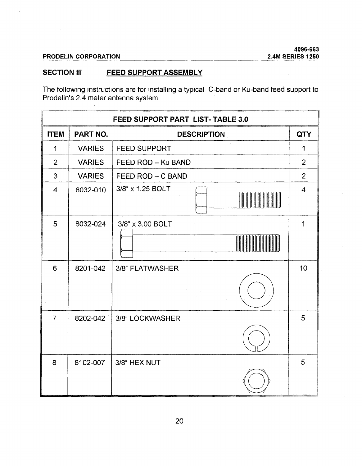# **SECTION III FEED SUPPORT ASSEMBLY**

**The following instructions are for installing a typical C-band or Ku-band feed support to Prodelin's 2.4 meter antenna system.** 

| FEED SUPPORT PART LIST- TABLE 3.0 |               |                     |                |
|-----------------------------------|---------------|---------------------|----------------|
| <b>ITEM</b>                       | PART NO.      | <b>DESCRIPTION</b>  | QTY            |
| 1                                 | <b>VARIES</b> | <b>FEED SUPPORT</b> | 1              |
| $\overline{2}$                    | <b>VARIES</b> | FEED ROD - Ku BAND  | $\overline{2}$ |
| 3                                 | <b>VARIES</b> | FEED ROD - C BAND   | $\overline{2}$ |
| $\overline{4}$                    | 8032-010      | 3/8" x 1.25 BOLT    | 4              |
| 5                                 | 8032-024      | 3/8" x 3.00 BOLT    | 1              |
| 6                                 | 8201-042      | 3/8" FLATWASHER     | 10             |
| $\overline{7}$                    | 8202-042      | 3/8" LOCKWASHER     | 5              |
| 8                                 | 8102-007      | 3/8" HEX NUT        | 5              |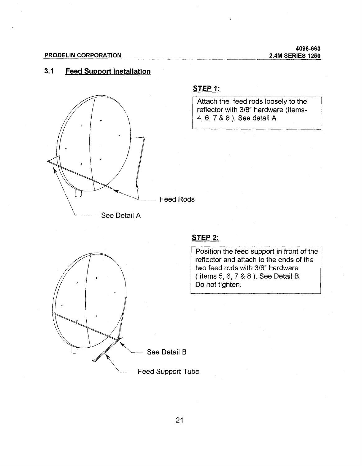# **3.1 Feed Support Installation**



# **STEP1:**

**Attach the feed rods loosely to the reflector with 3/8" hardware (items-4, 6, 7 & 8 ). See detail <sup>A</sup>**





**Position the feed support in front of the reflector and attach to the ends of the two feed rods with 3/8" hardware (items 5, 6, 7 & 8 ). See Detail B. Do not tighten.**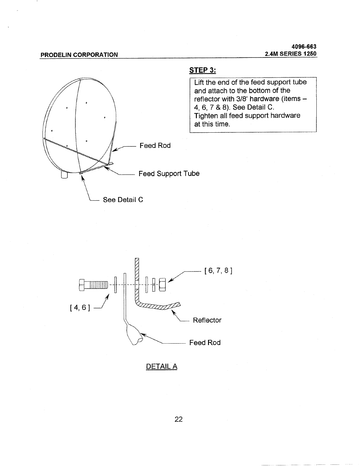



**DETAIL A**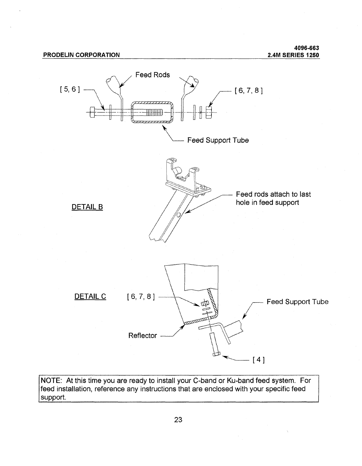

**NOTE: At this time you are ready to install your C-band or Ku-band feed system. For feed installation, reference any instructions that are enclosed with your specific feed support.\_\_\_\_\_\_\_\_\_\_\_\_\_\_\_\_\_\_\_\_\_\_\_\_\_\_\_\_\_\_\_\_\_\_\_\_\_\_\_\_\_**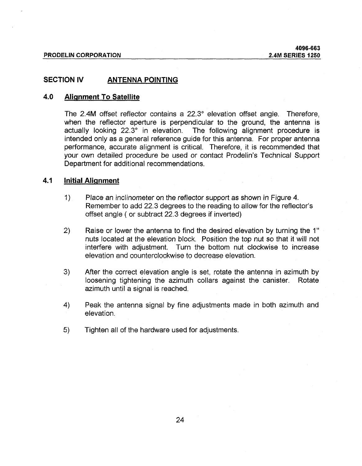# **SECTION IV ANTENNA POINTING**

#### **4.0 Alignment To Satellite**

**The 2.4M offset reflector contains a 22.3° elevation offset angle. Therefore, when the reflector aperture is perpendicular to the ground, the antenna is actually looking 22.3° in elevation. The following alignment procedure is intended only as a general reference guide for this antenna. For proper antenna performance, accurate alignment is critical. Therefore, it is recommended that your own detailed procedure be used or contact Prodelin's Technical Support Department for additional recommendations.** 

## **4.1 Initial Alignment**

- **1) Place an inclinometer on the reflector support as shown in Figure 4. Remember to add 22.3 degrees to the reading to allow for the reflector's offset angle ( or subtract 22.3 degrees if inverted)**
- **2) Raise or lower the antenna to find the desired elevation by turning the 1" nuts located at the elevation block. Position the top nut so that it will not interfere with adjustment. Turn the bottom nut clockwise to increase elevation and counterclockwise to decrease elevation.**
- **3) After the correct elevation angle is set, rotate the antenna in azimuth by loosening tightening the azimuth collars against the canister. Rotate azimuth until a signal is reached.**
- **4) Peak the antenna signal by fine adjustments made in both azimuth and elevation.**
- **5) Tighten all of the hardware used for adjustments.**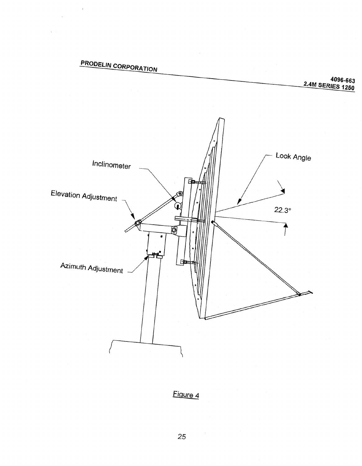

 $\bar{1}$ 

Figure 4

**25**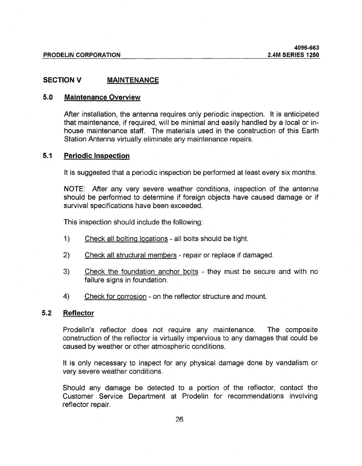# **SECTION V MAINTENANCE**

#### **5.0 Maintenance Overview**

**After installation, the antenna requires only periodic inspection. It is anticipated that maintenance, if required, will be minimal and easily handled by a local or inhouse maintenance staff. The materials used in the construction of this Earth Station Antenna virtually eliminate any maintenance repairs.** 

#### **5.1 Periodic Inspection**

**It is suggested that a periodic inspection be performed at least every six months.** 

**NOTE: After any very severe weather conditions, inspection of the antenna should be performed to determine if foreign objects have caused damage or if survival specifications have been exceeded.** 

**This inspection should include the following:** 

- **1) Check all bolting locations all bolts should be tight.**
- **2) Check all structural members repair or replace if damaged,**
- **3) Check the foundation anchor bolts they must be secure and with no failure signs in foundation.**
- **4) Check for corrosion on the reflector structure and mount.**

#### **5.2 Reflector**

**Prodelin's reflector does not require any maintenance. The composite construction of the reflector is virtually impervious to any damages that could be caused by weather or other atmospheric conditions.** 

**It is only necessary to inspect for any physical damage done by vandalism or very severe weather conditions.** 

**Should any damage be detected to a portion of the reflector, contact the Customer Service Department at Prodelin for recommendations involving reflector repair.**